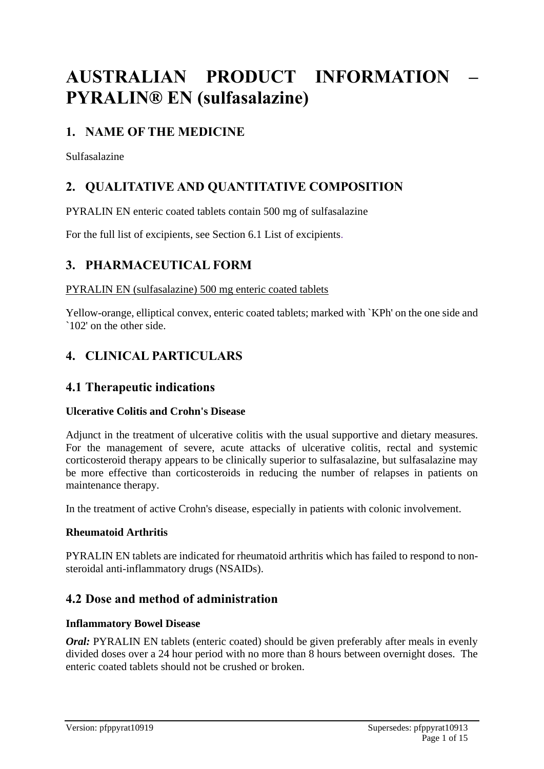# **AUSTRALIAN PRODUCT INFORMATION – PYRALIN® EN (sulfasalazine)**

# **1. NAME OF THE MEDICINE**

Sulfasalazine

# **2. QUALITATIVE AND QUANTITATIVE COMPOSITION**

PYRALIN EN enteric coated tablets contain 500 mg of sulfasalazine

For the full list of excipients, see Section 6.1 List of excipients.

# **3. PHARMACEUTICAL FORM**

#### PYRALIN EN (sulfasalazine) 500 mg enteric coated tablets

Yellow-orange, elliptical convex, enteric coated tablets; marked with `KPh' on the one side and `102' on the other side.

# **4. CLINICAL PARTICULARS**

### **4.1 Therapeutic indications**

#### **Ulcerative Colitis and Crohn's Disease**

Adjunct in the treatment of ulcerative colitis with the usual supportive and dietary measures. For the management of severe, acute attacks of ulcerative colitis, rectal and systemic corticosteroid therapy appears to be clinically superior to sulfasalazine, but sulfasalazine may be more effective than corticosteroids in reducing the number of relapses in patients on maintenance therapy.

In the treatment of active Crohn's disease, especially in patients with colonic involvement.

#### **Rheumatoid Arthritis**

PYRALIN EN tablets are indicated for rheumatoid arthritis which has failed to respond to nonsteroidal anti-inflammatory drugs (NSAIDs).

### **4.2 Dose and method of administration**

#### **Inflammatory Bowel Disease**

*Oral:* PYRALIN EN tablets (enteric coated) should be given preferably after meals in evenly divided doses over a 24 hour period with no more than 8 hours between overnight doses. The enteric coated tablets should not be crushed or broken.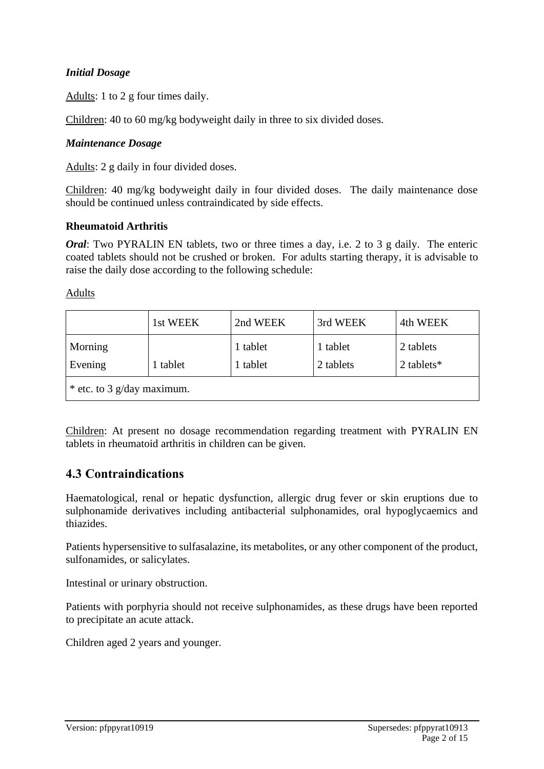#### *Initial Dosage*

Adults: 1 to 2 g four times daily.

Children: 40 to 60 mg/kg bodyweight daily in three to six divided doses.

#### *Maintenance Dosage*

Adults: 2 g daily in four divided doses.

Children: 40 mg/kg bodyweight daily in four divided doses. The daily maintenance dose should be continued unless contraindicated by side effects.

#### **Rheumatoid Arthritis**

*Oral*: Two PYRALIN EN tablets, two or three times a day, i.e. 2 to 3 g daily. The enteric coated tablets should not be crushed or broken. For adults starting therapy, it is advisable to raise the daily dose according to the following schedule:

Adults

|                              | 1st WEEK | 2nd WEEK | 3rd WEEK  | 4th WEEK      |
|------------------------------|----------|----------|-----------|---------------|
| Morning                      |          | 1 tablet | 1 tablet  | 2 tablets     |
| Evening                      | tablet   | 1 tablet | 2 tablets | 2 tablets $*$ |
| $*$ etc. to 3 g/day maximum. |          |          |           |               |

Children: At present no dosage recommendation regarding treatment with PYRALIN EN tablets in rheumatoid arthritis in children can be given.

### **4.3 Contraindications**

Haematological, renal or hepatic dysfunction, allergic drug fever or skin eruptions due to sulphonamide derivatives including antibacterial sulphonamides, oral hypoglycaemics and thiazides.

Patients hypersensitive to sulfasalazine, its metabolites, or any other component of the product, sulfonamides, or salicylates.

Intestinal or urinary obstruction.

Patients with porphyria should not receive sulphonamides, as these drugs have been reported to precipitate an acute attack.

Children aged 2 years and younger.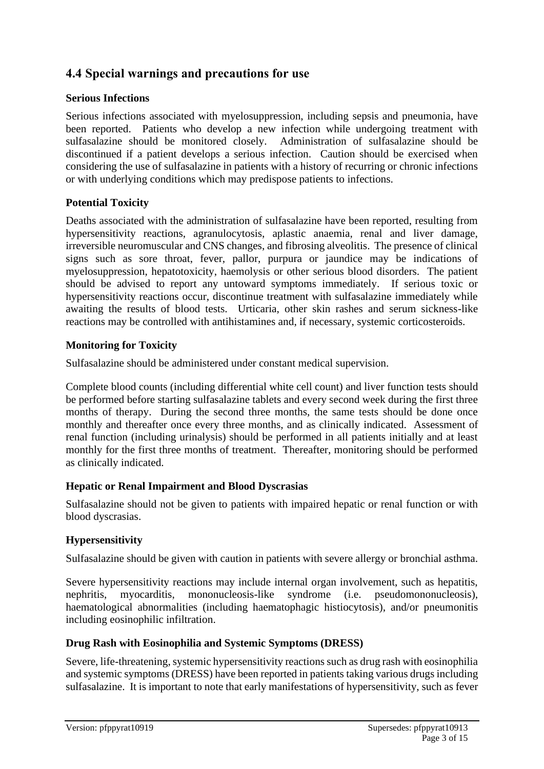# **4.4 Special warnings and precautions for use**

#### **Serious Infections**

Serious infections associated with myelosuppression, including sepsis and pneumonia, have been reported. Patients who develop a new infection while undergoing treatment with sulfasalazine should be monitored closely. Administration of sulfasalazine should be discontinued if a patient develops a serious infection. Caution should be exercised when considering the use of sulfasalazine in patients with a history of recurring or chronic infections or with underlying conditions which may predispose patients to infections.

#### **Potential Toxicity**

Deaths associated with the administration of sulfasalazine have been reported, resulting from hypersensitivity reactions, agranulocytosis, aplastic anaemia, renal and liver damage, irreversible neuromuscular and CNS changes, and fibrosing alveolitis. The presence of clinical signs such as sore throat, fever, pallor, purpura or jaundice may be indications of myelosuppression, hepatotoxicity, haemolysis or other serious blood disorders. The patient should be advised to report any untoward symptoms immediately. If serious toxic or hypersensitivity reactions occur, discontinue treatment with sulfasalazine immediately while awaiting the results of blood tests. Urticaria, other skin rashes and serum sickness-like reactions may be controlled with antihistamines and, if necessary, systemic corticosteroids.

#### **Monitoring for Toxicity**

Sulfasalazine should be administered under constant medical supervision.

Complete blood counts (including differential white cell count) and liver function tests should be performed before starting sulfasalazine tablets and every second week during the first three months of therapy. During the second three months, the same tests should be done once monthly and thereafter once every three months, and as clinically indicated. Assessment of renal function (including urinalysis) should be performed in all patients initially and at least monthly for the first three months of treatment. Thereafter, monitoring should be performed as clinically indicated.

#### **Hepatic or Renal Impairment and Blood Dyscrasias**

Sulfasalazine should not be given to patients with impaired hepatic or renal function or with blood dyscrasias.

#### **Hypersensitivity**

Sulfasalazine should be given with caution in patients with severe allergy or bronchial asthma.

Severe hypersensitivity reactions may include internal organ involvement, such as hepatitis, nephritis, myocarditis, mononucleosis-like syndrome (i.e. pseudomononucleosis), haematological abnormalities (including haematophagic histiocytosis), and/or pneumonitis including eosinophilic infiltration.

#### **Drug Rash with Eosinophilia and Systemic Symptoms (DRESS)**

Severe, life-threatening, systemic hypersensitivity reactions such as drug rash with eosinophilia and systemic symptoms (DRESS) have been reported in patients taking various drugs including sulfasalazine. It is important to note that early manifestations of hypersensitivity, such as fever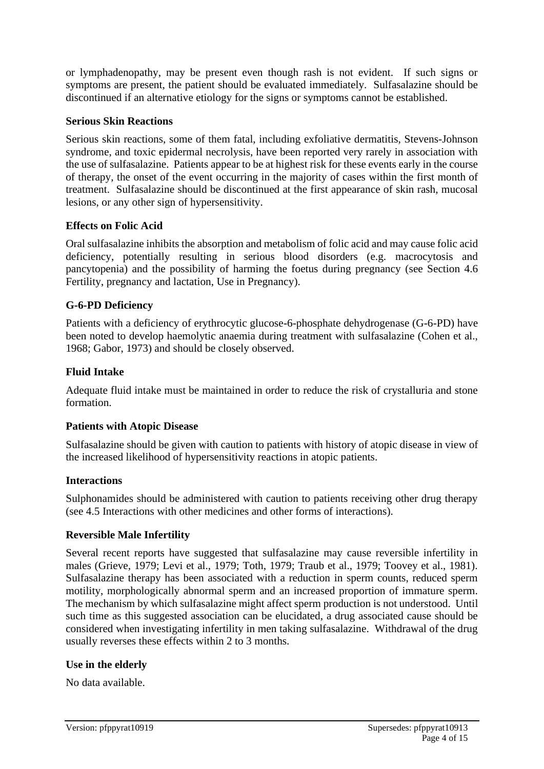or lymphadenopathy, may be present even though rash is not evident. If such signs or symptoms are present, the patient should be evaluated immediately. Sulfasalazine should be discontinued if an alternative etiology for the signs or symptoms cannot be established.

#### **Serious Skin Reactions**

Serious skin reactions, some of them fatal, including exfoliative dermatitis, Stevens-Johnson syndrome, and toxic epidermal necrolysis, have been reported very rarely in association with the use of sulfasalazine. Patients appear to be at highest risk for these events early in the course of therapy, the onset of the event occurring in the majority of cases within the first month of treatment. Sulfasalazine should be discontinued at the first appearance of skin rash, mucosal lesions, or any other sign of hypersensitivity.

#### **Effects on Folic Acid**

Oral sulfasalazine inhibits the absorption and metabolism of folic acid and may cause folic acid deficiency, potentially resulting in serious blood disorders (e.g. macrocytosis and pancytopenia) and the possibility of harming the foetus during pregnancy (see Section 4.6 Fertility, pregnancy and lactation, Use in Pregnancy).

#### **G-6-PD Deficiency**

Patients with a deficiency of erythrocytic glucose-6-phosphate dehydrogenase (G-6-PD) have been noted to develop haemolytic anaemia during treatment with sulfasalazine (Cohen et al., 1968; Gabor, 1973) and should be closely observed.

#### **Fluid Intake**

Adequate fluid intake must be maintained in order to reduce the risk of crystalluria and stone formation.

#### **Patients with Atopic Disease**

Sulfasalazine should be given with caution to patients with history of atopic disease in view of the increased likelihood of hypersensitivity reactions in atopic patients.

#### **Interactions**

Sulphonamides should be administered with caution to patients receiving other drug therapy (see 4.5 Interactions with other medicines and other forms of interactions).

#### **Reversible Male Infertility**

Several recent reports have suggested that sulfasalazine may cause reversible infertility in males (Grieve, 1979; Levi et al., 1979; Toth, 1979; Traub et al., 1979; Toovey et al., 1981). Sulfasalazine therapy has been associated with a reduction in sperm counts, reduced sperm motility, morphologically abnormal sperm and an increased proportion of immature sperm. The mechanism by which sulfasalazine might affect sperm production is not understood. Until such time as this suggested association can be elucidated, a drug associated cause should be considered when investigating infertility in men taking sulfasalazine. Withdrawal of the drug usually reverses these effects within 2 to 3 months.

#### **Use in the elderly**

No data available.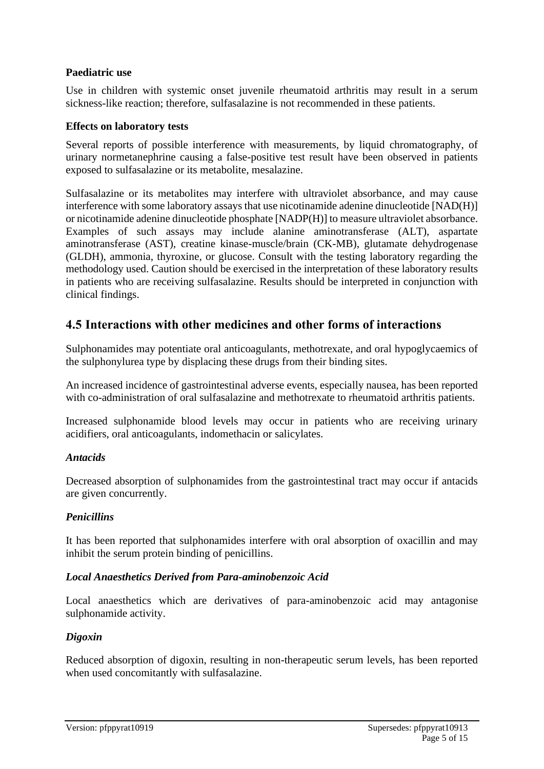#### **Paediatric use**

Use in children with systemic onset juvenile rheumatoid arthritis may result in a serum sickness-like reaction; therefore, sulfasalazine is not recommended in these patients.

#### **Effects on laboratory tests**

Several reports of possible interference with measurements, by liquid chromatography, of urinary normetanephrine causing a false-positive test result have been observed in patients exposed to sulfasalazine or its metabolite, mesalazine.

Sulfasalazine or its metabolites may interfere with ultraviolet absorbance, and may cause interference with some laboratory assays that use nicotinamide adenine dinucleotide [NAD(H)] or nicotinamide adenine dinucleotide phosphate [NADP(H)] to measure ultraviolet absorbance. Examples of such assays may include alanine aminotransferase (ALT), aspartate aminotransferase (AST), creatine kinase-muscle/brain (CK-MB), glutamate dehydrogenase (GLDH), ammonia, thyroxine, or glucose. Consult with the testing laboratory regarding the methodology used. Caution should be exercised in the interpretation of these laboratory results in patients who are receiving sulfasalazine. Results should be interpreted in conjunction with clinical findings.

### **4.5 Interactions with other medicines and other forms of interactions**

Sulphonamides may potentiate oral anticoagulants, methotrexate, and oral hypoglycaemics of the sulphonylurea type by displacing these drugs from their binding sites.

An increased incidence of gastrointestinal adverse events, especially nausea, has been reported with co-administration of oral sulfasalazine and methotrexate to rheumatoid arthritis patients.

Increased sulphonamide blood levels may occur in patients who are receiving urinary acidifiers, oral anticoagulants, indomethacin or salicylates.

#### *Antacids*

Decreased absorption of sulphonamides from the gastrointestinal tract may occur if antacids are given concurrently.

#### *Penicillins*

It has been reported that sulphonamides interfere with oral absorption of oxacillin and may inhibit the serum protein binding of penicillins.

#### *Local Anaesthetics Derived from Para-aminobenzoic Acid*

Local anaesthetics which are derivatives of para-aminobenzoic acid may antagonise sulphonamide activity.

#### *Digoxin*

Reduced absorption of digoxin, resulting in non-therapeutic serum levels, has been reported when used concomitantly with sulfasalazine.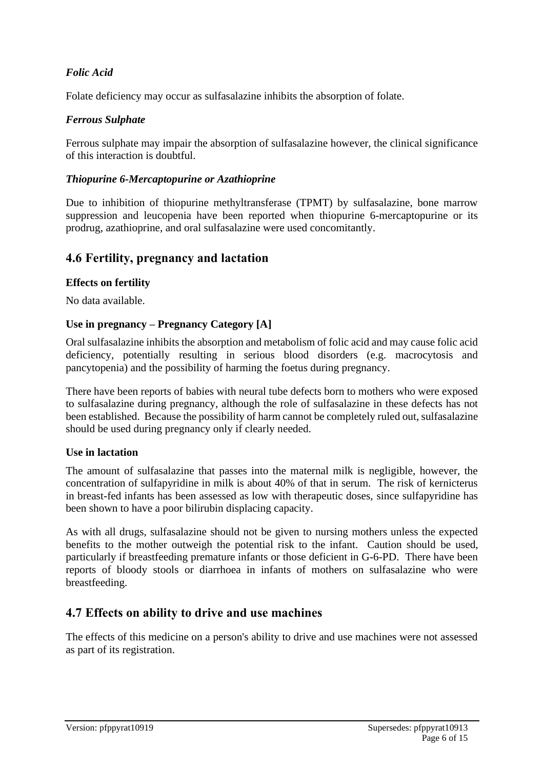### *Folic Acid*

Folate deficiency may occur as sulfasalazine inhibits the absorption of folate.

#### *Ferrous Sulphate*

Ferrous sulphate may impair the absorption of sulfasalazine however, the clinical significance of this interaction is doubtful.

#### *Thiopurine 6-Mercaptopurine or Azathioprine*

Due to inhibition of thiopurine methyltransferase (TPMT) by sulfasalazine, bone marrow suppression and leucopenia have been reported when thiopurine 6-mercaptopurine or its prodrug, azathioprine, and oral sulfasalazine were used concomitantly.

### **4.6 Fertility, pregnancy and lactation**

#### **Effects on fertility**

No data available.

#### **Use in pregnancy – Pregnancy Category [A]**

Oral sulfasalazine inhibits the absorption and metabolism of folic acid and may cause folic acid deficiency, potentially resulting in serious blood disorders (e.g. macrocytosis and pancytopenia) and the possibility of harming the foetus during pregnancy.

There have been reports of babies with neural tube defects born to mothers who were exposed to sulfasalazine during pregnancy, although the role of sulfasalazine in these defects has not been established. Because the possibility of harm cannot be completely ruled out, sulfasalazine should be used during pregnancy only if clearly needed.

#### **Use in lactation**

The amount of sulfasalazine that passes into the maternal milk is negligible, however, the concentration of sulfapyridine in milk is about 40% of that in serum. The risk of kernicterus in breast-fed infants has been assessed as low with therapeutic doses, since sulfapyridine has been shown to have a poor bilirubin displacing capacity.

As with all drugs, sulfasalazine should not be given to nursing mothers unless the expected benefits to the mother outweigh the potential risk to the infant. Caution should be used, particularly if breastfeeding premature infants or those deficient in G-6-PD. There have been reports of bloody stools or diarrhoea in infants of mothers on sulfasalazine who were breastfeeding.

### **4.7 Effects on ability to drive and use machines**

The effects of this medicine on a person's ability to drive and use machines were not assessed as part of its registration.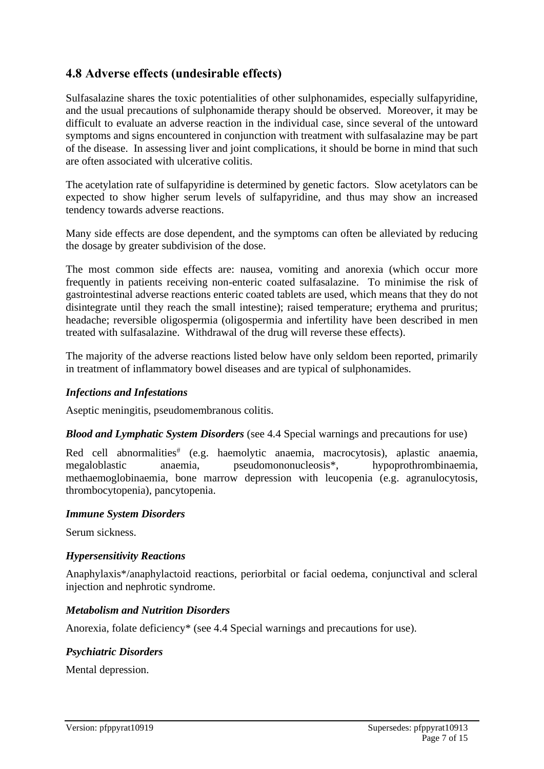### **4.8 Adverse effects (undesirable effects)**

Sulfasalazine shares the toxic potentialities of other sulphonamides, especially sulfapyridine, and the usual precautions of sulphonamide therapy should be observed. Moreover, it may be difficult to evaluate an adverse reaction in the individual case, since several of the untoward symptoms and signs encountered in conjunction with treatment with sulfasalazine may be part of the disease. In assessing liver and joint complications, it should be borne in mind that such are often associated with ulcerative colitis.

The acetylation rate of sulfapyridine is determined by genetic factors. Slow acetylators can be expected to show higher serum levels of sulfapyridine, and thus may show an increased tendency towards adverse reactions.

Many side effects are dose dependent, and the symptoms can often be alleviated by reducing the dosage by greater subdivision of the dose.

The most common side effects are: nausea, vomiting and anorexia (which occur more frequently in patients receiving non-enteric coated sulfasalazine. To minimise the risk of gastrointestinal adverse reactions enteric coated tablets are used, which means that they do not disintegrate until they reach the small intestine); raised temperature; erythema and pruritus; headache; reversible oligospermia (oligospermia and infertility have been described in men treated with sulfasalazine. Withdrawal of the drug will reverse these effects).

The majority of the adverse reactions listed below have only seldom been reported, primarily in treatment of inflammatory bowel diseases and are typical of sulphonamides.

#### *Infections and Infestations*

Aseptic meningitis, pseudomembranous colitis.

*Blood and Lymphatic System Disorders* (see 4.4 Special warnings and precautions for use)

Red cell abnormalities (e.g. haemolytic anaemia, macrocytosis), aplastic anaemia, megaloblastic anaemia, pseudomononucleosis\*, hypoprothrombinaemia, methaemoglobinaemia, bone marrow depression with leucopenia (e.g. agranulocytosis, thrombocytopenia), pancytopenia.

#### *Immune System Disorders*

Serum sickness.

#### *Hypersensitivity Reactions*

Anaphylaxis\*/anaphylactoid reactions, periorbital or facial oedema, conjunctival and scleral injection and nephrotic syndrome.

#### *Metabolism and Nutrition Disorders*

Anorexia, folate deficiency\* (see 4.4 Special warnings and precautions for use).

#### *Psychiatric Disorders*

Mental depression.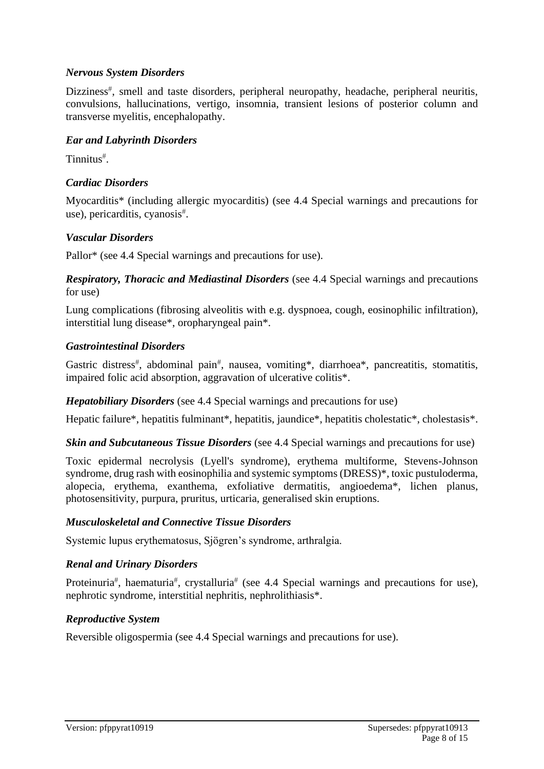#### *Nervous System Disorders*

Dizziness<sup>#</sup>, smell and taste disorders, peripheral neuropathy, headache, peripheral neuritis, convulsions, hallucinations, vertigo, insomnia, transient lesions of posterior column and transverse myelitis, encephalopathy.

#### *Ear and Labyrinth Disorders*

Tinnitus .

#### *Cardiac Disorders*

Myocarditis\* (including allergic myocarditis) (see 4.4 Special warnings and precautions for use), pericarditis, cyanosis .

#### *Vascular Disorders*

Pallor\* (see 4.4 Special warnings and precautions for use).

*Respiratory, Thoracic and Mediastinal Disorders* (see 4.4 Special warnings and precautions for use)

Lung complications (fibrosing alveolitis with e.g. dyspnoea, cough, eosinophilic infiltration), interstitial lung disease\*, oropharyngeal pain\*.

#### *Gastrointestinal Disorders*

Gastric distress<sup>#</sup>, abdominal pain<sup>#</sup>, nausea, vomiting\*, diarrhoea\*, pancreatitis, stomatitis, impaired folic acid absorption, aggravation of ulcerative colitis\*.

*Hepatobiliary Disorders* (see 4.4 Special warnings and precautions for use)

Hepatic failure\*, hepatitis fulminant\*, hepatitis, jaundice\*, hepatitis cholestatic\*, cholestasis\*.

*Skin and Subcutaneous Tissue Disorders* (see 4.4 Special warnings and precautions for use)

Toxic epidermal necrolysis (Lyell's syndrome), erythema multiforme, Stevens-Johnson syndrome, drug rash with eosinophilia and systemic symptoms (DRESS)\*, toxic pustuloderma, alopecia, erythema, exanthema, exfoliative dermatitis, angioedema\*, lichen planus, photosensitivity, purpura, pruritus, urticaria, generalised skin eruptions.

#### *Musculoskeletal and Connective Tissue Disorders*

Systemic lupus erythematosus, Sjögren's syndrome, arthralgia.

#### *Renal and Urinary Disorders*

Proteinuria<sup>#</sup>, haematuria<sup>#</sup>, crystalluria<sup>#</sup> (see 4.4 Special warnings and precautions for use), nephrotic syndrome, interstitial nephritis, nephrolithiasis\*.

#### *Reproductive System*

Reversible oligospermia (see 4.4 Special warnings and precautions for use).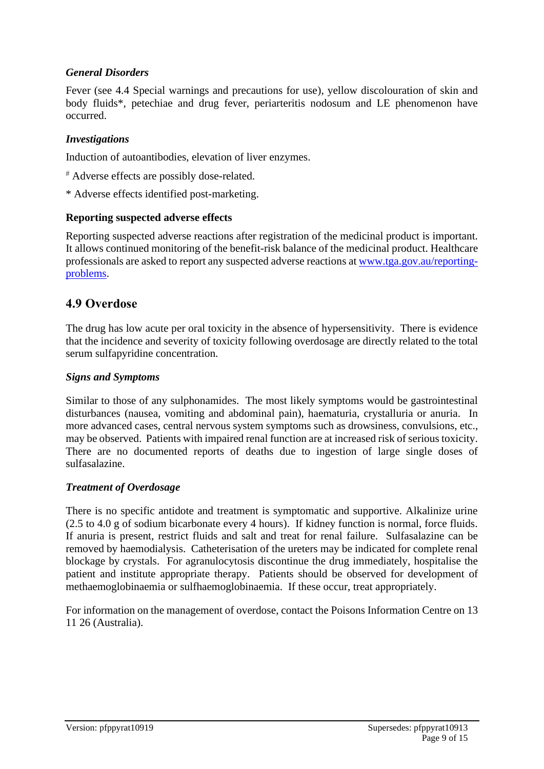#### *General Disorders*

Fever (see 4.4 Special warnings and precautions for use), yellow discolouration of skin and body fluids\*, petechiae and drug fever, periarteritis nodosum and LE phenomenon have occurred.

#### *Investigations*

Induction of autoantibodies, elevation of liver enzymes.

- Adverse effects are possibly dose-related.
- \* Adverse effects identified post-marketing.

#### **Reporting suspected adverse effects**

Reporting suspected adverse reactions after registration of the medicinal product is important. It allows continued monitoring of the benefit-risk balance of the medicinal product. Healthcare professionals are asked to report any suspected adverse reactions at [www.tga.gov.au/reporting](http://www.tga.gov.au/reporting-problems)[problems.](http://www.tga.gov.au/reporting-problems)

#### **4.9 Overdose**

The drug has low acute per oral toxicity in the absence of hypersensitivity. There is evidence that the incidence and severity of toxicity following overdosage are directly related to the total serum sulfapyridine concentration.

#### *Signs and Symptoms*

Similar to those of any sulphonamides. The most likely symptoms would be gastrointestinal disturbances (nausea, vomiting and abdominal pain), haematuria, crystalluria or anuria. In more advanced cases, central nervous system symptoms such as drowsiness, convulsions, etc., may be observed. Patients with impaired renal function are at increased risk of serious toxicity. There are no documented reports of deaths due to ingestion of large single doses of sulfasalazine.

#### *Treatment of Overdosage*

There is no specific antidote and treatment is symptomatic and supportive. Alkalinize urine (2.5 to 4.0 g of sodium bicarbonate every 4 hours). If kidney function is normal, force fluids. If anuria is present, restrict fluids and salt and treat for renal failure. Sulfasalazine can be removed by haemodialysis. Catheterisation of the ureters may be indicated for complete renal blockage by crystals. For agranulocytosis discontinue the drug immediately, hospitalise the patient and institute appropriate therapy. Patients should be observed for development of methaemoglobinaemia or sulfhaemoglobinaemia. If these occur, treat appropriately.

For information on the management of overdose, contact the Poisons Information Centre on 13 11 26 (Australia).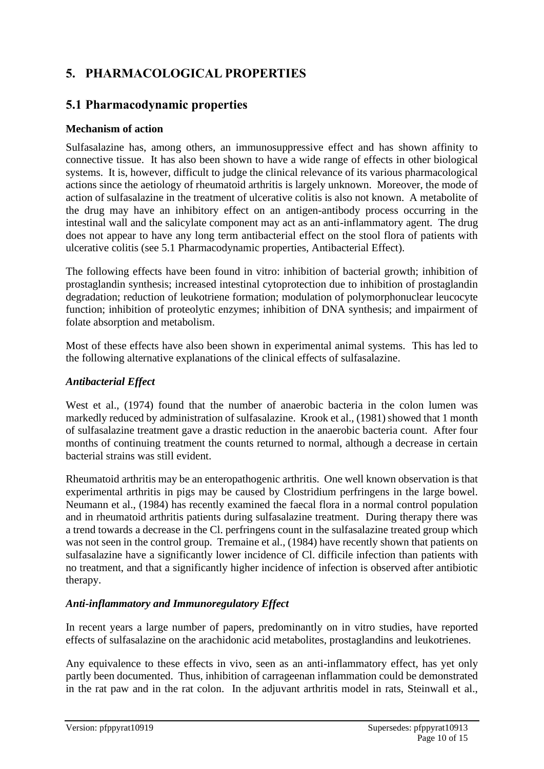# **5. PHARMACOLOGICAL PROPERTIES**

### **5.1 Pharmacodynamic properties**

### **Mechanism of action**

Sulfasalazine has, among others, an immunosuppressive effect and has shown affinity to connective tissue. It has also been shown to have a wide range of effects in other biological systems. It is, however, difficult to judge the clinical relevance of its various pharmacological actions since the aetiology of rheumatoid arthritis is largely unknown. Moreover, the mode of action of sulfasalazine in the treatment of ulcerative colitis is also not known. A metabolite of the drug may have an inhibitory effect on an antigen-antibody process occurring in the intestinal wall and the salicylate component may act as an anti-inflammatory agent. The drug does not appear to have any long term antibacterial effect on the stool flora of patients with ulcerative colitis (see 5.1 Pharmacodynamic properties, Antibacterial Effect).

The following effects have been found in vitro: inhibition of bacterial growth; inhibition of prostaglandin synthesis; increased intestinal cytoprotection due to inhibition of prostaglandin degradation; reduction of leukotriene formation; modulation of polymorphonuclear leucocyte function; inhibition of proteolytic enzymes; inhibition of DNA synthesis; and impairment of folate absorption and metabolism.

Most of these effects have also been shown in experimental animal systems. This has led to the following alternative explanations of the clinical effects of sulfasalazine.

#### *Antibacterial Effect*

West et al., (1974) found that the number of anaerobic bacteria in the colon lumen was markedly reduced by administration of sulfasalazine. Krook et al., (1981) showed that 1 month of sulfasalazine treatment gave a drastic reduction in the anaerobic bacteria count. After four months of continuing treatment the counts returned to normal, although a decrease in certain bacterial strains was still evident.

Rheumatoid arthritis may be an enteropathogenic arthritis. One well known observation is that experimental arthritis in pigs may be caused by Clostridium perfringens in the large bowel. Neumann et al., (1984) has recently examined the faecal flora in a normal control population and in rheumatoid arthritis patients during sulfasalazine treatment. During therapy there was a trend towards a decrease in the Cl. perfringens count in the sulfasalazine treated group which was not seen in the control group. Tremaine et al., (1984) have recently shown that patients on sulfasalazine have a significantly lower incidence of Cl. difficile infection than patients with no treatment, and that a significantly higher incidence of infection is observed after antibiotic therapy.

### *Anti-inflammatory and Immunoregulatory Effect*

In recent years a large number of papers, predominantly on in vitro studies, have reported effects of sulfasalazine on the arachidonic acid metabolites, prostaglandins and leukotrienes.

Any equivalence to these effects in vivo, seen as an anti-inflammatory effect, has yet only partly been documented. Thus, inhibition of carrageenan inflammation could be demonstrated in the rat paw and in the rat colon. In the adjuvant arthritis model in rats, Steinwall et al.,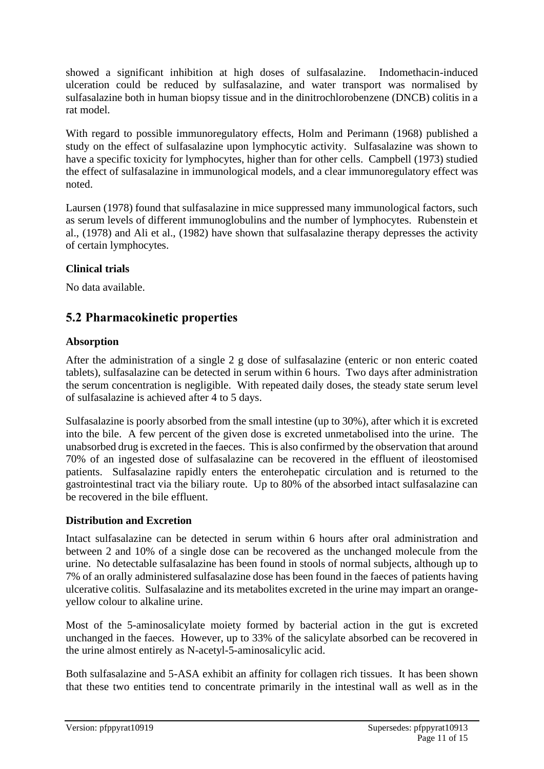showed a significant inhibition at high doses of sulfasalazine. Indomethacin-induced ulceration could be reduced by sulfasalazine, and water transport was normalised by sulfasalazine both in human biopsy tissue and in the dinitrochlorobenzene (DNCB) colitis in a rat model.

With regard to possible immunoregulatory effects, Holm and Perimann (1968) published a study on the effect of sulfasalazine upon lymphocytic activity. Sulfasalazine was shown to have a specific toxicity for lymphocytes, higher than for other cells. Campbell (1973) studied the effect of sulfasalazine in immunological models, and a clear immunoregulatory effect was noted.

Laursen (1978) found that sulfasalazine in mice suppressed many immunological factors, such as serum levels of different immunoglobulins and the number of lymphocytes. Rubenstein et al., (1978) and Ali et al., (1982) have shown that sulfasalazine therapy depresses the activity of certain lymphocytes.

#### **Clinical trials**

No data available.

### **5.2 Pharmacokinetic properties**

#### **Absorption**

After the administration of a single 2 g dose of sulfasalazine (enteric or non enteric coated tablets), sulfasalazine can be detected in serum within 6 hours. Two days after administration the serum concentration is negligible. With repeated daily doses, the steady state serum level of sulfasalazine is achieved after 4 to 5 days.

Sulfasalazine is poorly absorbed from the small intestine (up to 30%), after which it is excreted into the bile. A few percent of the given dose is excreted unmetabolised into the urine. The unabsorbed drug is excreted in the faeces. This is also confirmed by the observation that around 70% of an ingested dose of sulfasalazine can be recovered in the effluent of ileostomised patients. Sulfasalazine rapidly enters the enterohepatic circulation and is returned to the gastrointestinal tract via the biliary route. Up to 80% of the absorbed intact sulfasalazine can be recovered in the bile effluent.

#### **Distribution and Excretion**

Intact sulfasalazine can be detected in serum within 6 hours after oral administration and between 2 and 10% of a single dose can be recovered as the unchanged molecule from the urine. No detectable sulfasalazine has been found in stools of normal subjects, although up to 7% of an orally administered sulfasalazine dose has been found in the faeces of patients having ulcerative colitis. Sulfasalazine and its metabolites excreted in the urine may impart an orangeyellow colour to alkaline urine.

Most of the 5-aminosalicylate moiety formed by bacterial action in the gut is excreted unchanged in the faeces. However, up to 33% of the salicylate absorbed can be recovered in the urine almost entirely as N-acetyl-5-aminosalicylic acid.

Both sulfasalazine and 5-ASA exhibit an affinity for collagen rich tissues. It has been shown that these two entities tend to concentrate primarily in the intestinal wall as well as in the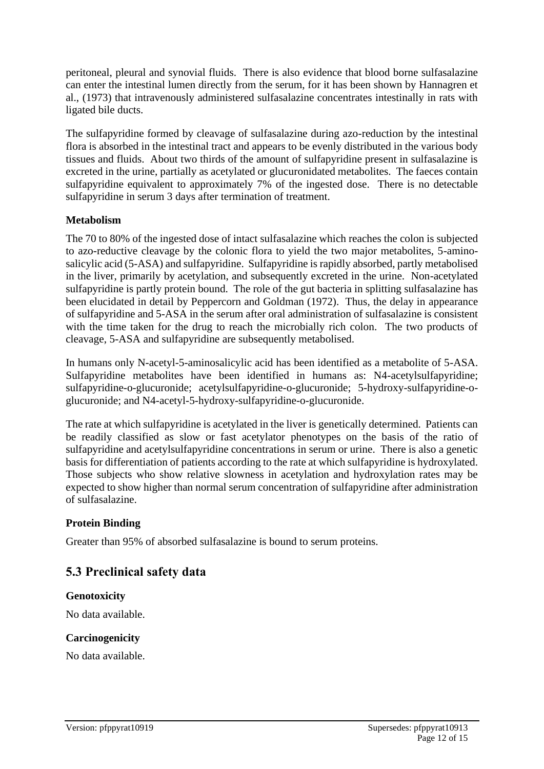peritoneal, pleural and synovial fluids. There is also evidence that blood borne sulfasalazine can enter the intestinal lumen directly from the serum, for it has been shown by Hannagren et al., (1973) that intravenously administered sulfasalazine concentrates intestinally in rats with ligated bile ducts.

The sulfapyridine formed by cleavage of sulfasalazine during azo-reduction by the intestinal flora is absorbed in the intestinal tract and appears to be evenly distributed in the various body tissues and fluids. About two thirds of the amount of sulfapyridine present in sulfasalazine is excreted in the urine, partially as acetylated or glucuronidated metabolites. The faeces contain sulfapyridine equivalent to approximately 7% of the ingested dose. There is no detectable sulfapyridine in serum 3 days after termination of treatment.

#### **Metabolism**

The 70 to 80% of the ingested dose of intact sulfasalazine which reaches the colon is subjected to azo-reductive cleavage by the colonic flora to yield the two major metabolites, 5-aminosalicylic acid (5-ASA) and sulfapyridine. Sulfapyridine is rapidly absorbed, partly metabolised in the liver, primarily by acetylation, and subsequently excreted in the urine. Non-acetylated sulfapyridine is partly protein bound. The role of the gut bacteria in splitting sulfasalazine has been elucidated in detail by Peppercorn and Goldman (1972). Thus, the delay in appearance of sulfapyridine and 5-ASA in the serum after oral administration of sulfasalazine is consistent with the time taken for the drug to reach the microbially rich colon. The two products of cleavage, 5-ASA and sulfapyridine are subsequently metabolised.

In humans only N-acetyl-5-aminosalicylic acid has been identified as a metabolite of 5-ASA. Sulfapyridine metabolites have been identified in humans as: N4-acetylsulfapyridine; sulfapyridine-o-glucuronide; acetylsulfapyridine-o-glucuronide; 5-hydroxy-sulfapyridine-oglucuronide; and N4-acetyl-5-hydroxy-sulfapyridine-o-glucuronide.

The rate at which sulfapyridine is acetylated in the liver is genetically determined. Patients can be readily classified as slow or fast acetylator phenotypes on the basis of the ratio of sulfapyridine and acetylsulfapyridine concentrations in serum or urine. There is also a genetic basis for differentiation of patients according to the rate at which sulfapyridine is hydroxylated. Those subjects who show relative slowness in acetylation and hydroxylation rates may be expected to show higher than normal serum concentration of sulfapyridine after administration of sulfasalazine.

#### **Protein Binding**

Greater than 95% of absorbed sulfasalazine is bound to serum proteins.

### **5.3 Preclinical safety data**

#### **Genotoxicity**

No data available.

#### **Carcinogenicity**

No data available.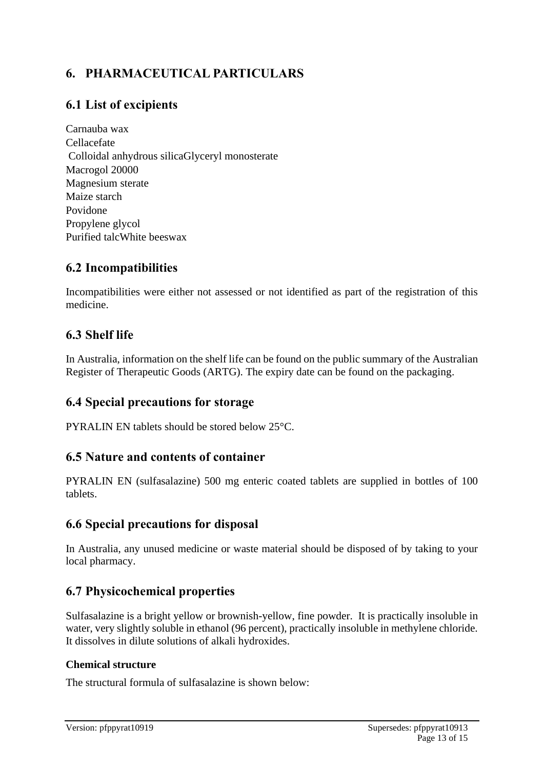# **6. PHARMACEUTICAL PARTICULARS**

# **6.1 List of excipients**

Carnauba wax Cellacefate Colloidal anhydrous silicaGlyceryl monosterate Macrogol 20000 Magnesium sterate Maize starch Povidone Propylene glycol Purified talcWhite beeswax

### **6.2 Incompatibilities**

Incompatibilities were either not assessed or not identified as part of the registration of this medicine.

### **6.3 Shelf life**

In Australia, information on the shelf life can be found on the public summary of the Australian Register of Therapeutic Goods (ARTG). The expiry date can be found on the packaging.

### **6.4 Special precautions for storage**

PYRALIN EN tablets should be stored below 25°C.

### **6.5 Nature and contents of container**

PYRALIN EN (sulfasalazine) 500 mg enteric coated tablets are supplied in bottles of 100 tablets.

### **6.6 Special precautions for disposal**

In Australia, any unused medicine or waste material should be disposed of by taking to your local pharmacy.

### **6.7 Physicochemical properties**

Sulfasalazine is a bright yellow or brownish-yellow, fine powder. It is practically insoluble in water, very slightly soluble in ethanol (96 percent), practically insoluble in methylene chloride. It dissolves in dilute solutions of alkali hydroxides.

#### **Chemical structure**

The structural formula of sulfasalazine is shown below: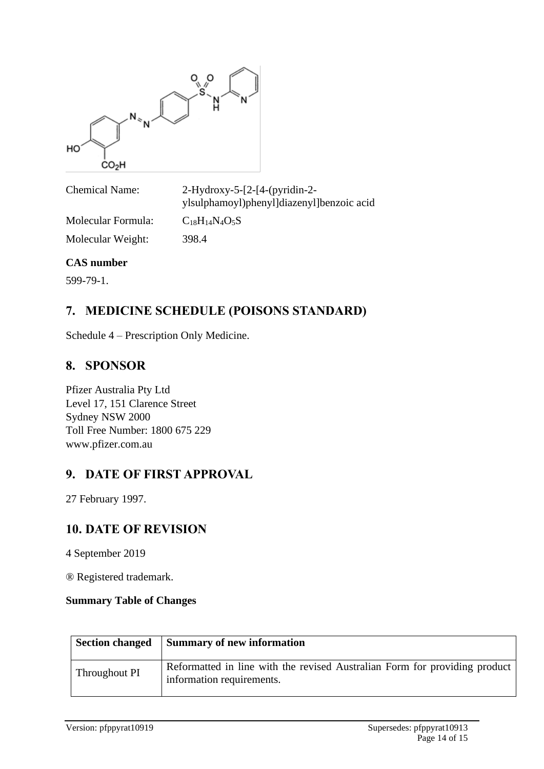

Chemical Name: 2-Hydroxy-5-[2-[4-(pyridin-2 ylsulphamoyl)phenyl]diazenyl]benzoic acid Molecular Formula:  $C_{18}H_{14}N_4O_5S$ 

Molecular Weight: 398.4

#### **CAS number**

599-79-1.

# **7. MEDICINE SCHEDULE (POISONS STANDARD)**

Schedule 4 – Prescription Only Medicine.

### **8. SPONSOR**

Pfizer Australia Pty Ltd Level 17, 151 Clarence Street Sydney NSW 2000 Toll Free Number: 1800 675 229 www.pfizer.com.au

### **9. DATE OF FIRST APPROVAL**

27 February 1997.

### **10. DATE OF REVISION**

4 September 2019

® Registered trademark.

#### **Summary Table of Changes**

|               | Section changed Summary of new information                                                              |
|---------------|---------------------------------------------------------------------------------------------------------|
| Throughout PI | Reformatted in line with the revised Australian Form for providing product<br>information requirements. |